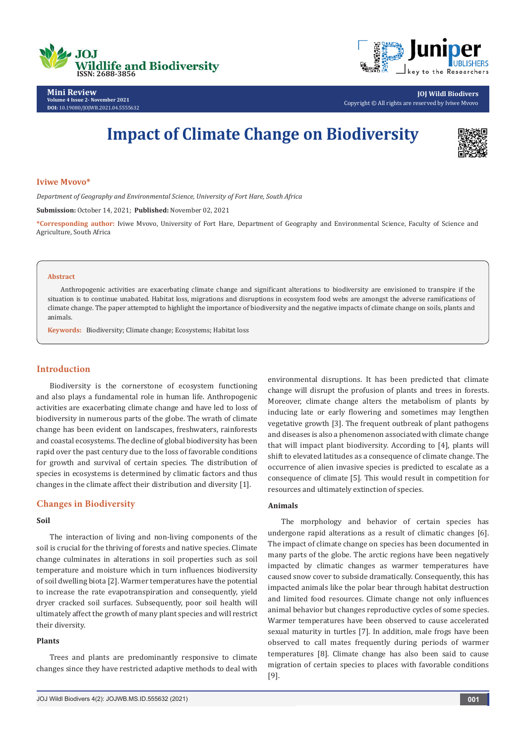



**Mini Review Volume 4 Issue 2- November 2021 DOI:** [10.19080/JOJWB.2021.04.55556](http://dx.doi.org/10.19080/jojwb.2021.04.555632)32

**JOJ Wildl Biodivers** Copyright © All rights are reserved by Iviwe Mvovo

# **Impact of Climate Change on Biodiversity**



#### **Iviwe Mvovo\***

*Department of Geography and Environmental Science, University of Fort Hare, South Africa*

**Submission:** October 14, 2021; **Published:** November 02, 2021

**\*Corresponding author:** Iviwe Mvovo, University of Fort Hare, Department of Geography and Environmental Science, Faculty of Science and Agriculture, South Africa

#### **Abstract**

Anthropogenic activities are exacerbating climate change and significant alterations to biodiversity are envisioned to transpire if the situation is to continue unabated. Habitat loss, migrations and disruptions in ecosystem food webs are amongst the adverse ramifications of climate change. The paper attempted to highlight the importance of biodiversity and the negative impacts of climate change on soils, plants and animals.

**Keywords:** Biodiversity; Climate change; Ecosystems; Habitat loss

# **Introduction**

Biodiversity is the cornerstone of ecosystem functioning and also plays a fundamental role in human life. Anthropogenic activities are exacerbating climate change and have led to loss of biodiversity in numerous parts of the globe. The wrath of climate change has been evident on landscapes, freshwaters, rainforests and coastal ecosystems. The decline of global biodiversity has been rapid over the past century due to the loss of favorable conditions for growth and survival of certain species. The distribution of species in ecosystems is determined by climatic factors and thus changes in the climate affect their distribution and diversity [1].

#### **Changes in Biodiversity**

## **Soil**

The interaction of living and non-living components of the soil is crucial for the thriving of forests and native species. Climate change culminates in alterations in soil properties such as soil temperature and moisture which in turn influences biodiversity of soil dwelling biota [2]. Warmer temperatures have the potential to increase the rate evapotranspiration and consequently, yield dryer cracked soil surfaces. Subsequently, poor soil health will ultimately affect the growth of many plant species and will restrict their diversity.

## **Plants**

Trees and plants are predominantly responsive to climate changes since they have restricted adaptive methods to deal with

environmental disruptions. It has been predicted that climate change will disrupt the profusion of plants and trees in forests. Moreover, climate change alters the metabolism of plants by inducing late or early flowering and sometimes may lengthen vegetative growth [3]. The frequent outbreak of plant pathogens and diseases is also a phenomenon associated with climate change that will impact plant biodiversity. According to [4], plants will shift to elevated latitudes as a consequence of climate change. The occurrence of alien invasive species is predicted to escalate as a consequence of climate [5]. This would result in competition for resources and ultimately extinction of species.

# **Animals**

The morphology and behavior of certain species has undergone rapid alterations as a result of climatic changes [6]. The impact of climate change on species has been documented in many parts of the globe. The arctic regions have been negatively impacted by climatic changes as warmer temperatures have caused snow cover to subside dramatically. Consequently, this has impacted animals like the polar bear through habitat destruction and limited food resources. Climate change not only influences animal behavior but changes reproductive cycles of some species. Warmer temperatures have been observed to cause accelerated sexual maturity in turtles [7]. In addition, male frogs have been observed to call mates frequently during periods of warmer temperatures [8]. Climate change has also been said to cause migration of certain species to places with favorable conditions [9].